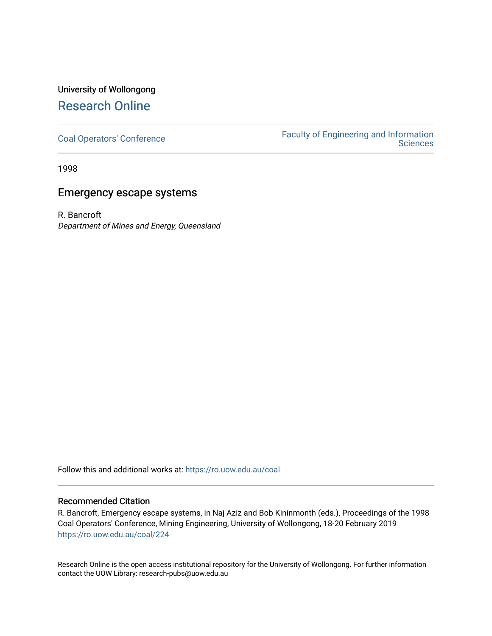# University of Wollongong [Research Online](https://ro.uow.edu.au/)

[Coal Operators' Conference](https://ro.uow.edu.au/coal) [Faculty of Engineering and Information](https://ro.uow.edu.au/eis)  **Sciences** 

1998

# Emergency escape systems

R. Bancroft Department of Mines and Energy, Queensland

Follow this and additional works at: [https://ro.uow.edu.au/coal](https://ro.uow.edu.au/coal?utm_source=ro.uow.edu.au%2Fcoal%2F224&utm_medium=PDF&utm_campaign=PDFCoverPages) 

#### Recommended Citation

R. Bancroft, Emergency escape systems, in Naj Aziz and Bob Kininmonth (eds.), Proceedings of the 1998 Coal Operators' Conference, Mining Engineering, University of Wollongong, 18-20 February 2019 [https://ro.uow.edu.au/coal/224](https://ro.uow.edu.au/coal/224?utm_source=ro.uow.edu.au%2Fcoal%2F224&utm_medium=PDF&utm_campaign=PDFCoverPages) 

Research Online is the open access institutional repository for the University of Wollongong. For further information contact the UOW Library: research-pubs@uow.edu.au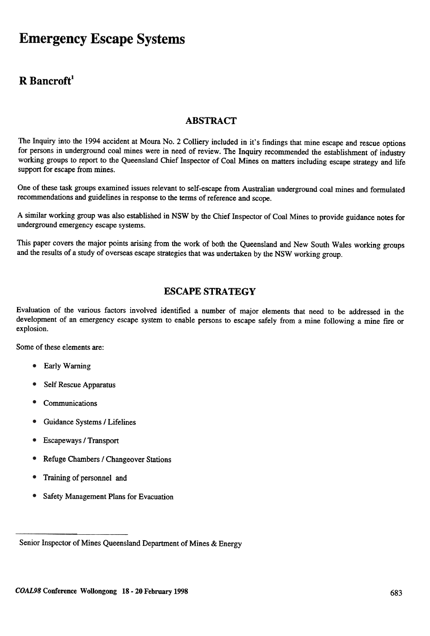# **Emergency Escape Systems**

## R Bancroff

## ABSTRACT

The Inquiry into the 1994 accident at Moura No.2 Colliery included in it's findings that mine escape and rescue options for persons in underground coal mines were in need of review. The Inquiry recommended the establishment of industry working groups to report to the Queensland Chief Inspector of Coal Mines on matters including escape strategy and life support for escape from mines.

One of these task groups examined issues relevant to self -escape from Australian underground coal mines and formulated recommendations and guidelines in response to the terms of reference and scope.

A similar working group was also established in NSW by the Chief Inspector of Coal Mines to provide guidance notes for underground emergency escape systems.

This paper covers the major points arising from the work of both the Queensland and New South Wales working groups and the results of a study of overseas escape strategies that was undertaken by the NSW working group.

### ESCAPE STRATEGY

Evaluation of the various factors involved identified a number of major elements that need to be addressed in the development of an emergency escape system to enable persons to escape safely from a mine following a mine fire or explosion.

Some of these elements are:

- Early Warning •
- Self Rescue Apparatus •
- **Communications** •
- Guidance Systems / Lifelines •
- Escapeways / Transport •
- Refuge Chambers / Changeover Stations •
- Training of personnel and •
- Safety Management Plans for Evacuation •

Senior Inspector of Mines Queensland Department of Mines & Energy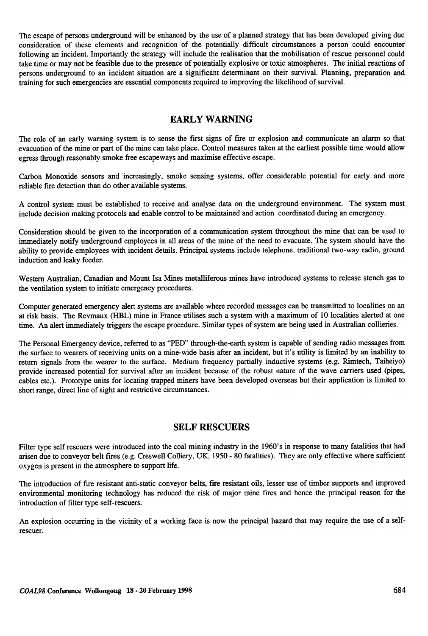The escape of persons underground will be enhanced by the use of a planned strategy that has been developed giving due consideration of these elements and recognition of the potentially difficult circumstances a person could encounter following an incident. Importantly the strategy will include the realisation that the mobilisation of rescue personnel could take time or may not be feasible due to the presence of potentially explosive or toxic atmospheres. The initial reactions of persons underground to an incident situation are a significant determinant on their survival. Planning, preparation and training for such emergencies are essential components required to improving the likelihood of survival.

## EARLY WARNING

The role of an early warning system is to sense the first signs of fire or explosion and communicate an alarm so that evacuation of the mine or part of the mine can take place. Control measures taken at the earliest possible time would allow egress through reasonably smoke free escapeways and maximise effective escape.

Carbon Monoxide sensors and increasingly, smoke sensing systems, offer considerable potential for early and more reliable fire detection than do other available systems.

A control system must be established to receive and analyse data on the underground environment. The system must include decision making protocols and enable control to be maintained and action coordinated during an emergency.

Consideration should be given to the incorporation of a communication system throughout the mine that can be used to immediately notify underground employees in all areas of the mine of the need to evacuate. The system should have the ability to provide employees with incident details. Principal systems include telephone, traditional two-way radio, ground induction and leaky feeder.

Western Australian, Canadian and Mount Isa Mines metalliferous mines have introduced systems to release stench gas to the ventilation system to initiate emergency procedures.

Computer generated emergency alert systems are available where recorded messages can be transmitted to localities on an at risk basis. The Revmaux (HBL) mine in France utilises such a system with a maximum of 10 localities alerted at one time. An alert immediately triggers the escape procedure. Similar types of system are being used in Australian collieries.

The Personal Emergency device, referred to as "PED" through-the-earth system is capable of sending radio messages from the surface to wearers of receiving units on a mine-wide basis after an incident, but it's utility is limited by an inability to return signals from the wearer to the surface. Medium frequency partially inductive systems (e.g. Rimtech, Taiheiyo) provide increased potential for survival after an incident because of the robust nature of the wave carriers used (pipes, cables etc.). Prototype units for locating trapped miners have been developed overseas but their application is limited to short range, direct line of sight and restrictive circumstances.

#### SELF RESCUERS

Filter type self rescuers were introduced into the coal mining industry in the 1960's in response to many fatalities that had arisen due to conveyor belt fires (e.g. Creswell Colliery, UK, 1950- 80 fatalities). They are only effective where sufficient oxygen is present in the atmosphere to support life.

The introduction of fire resistant anti-static conveyor belts, fire resistant oils, lesser use of timber supports and improved environmental monitoring technology has reduced the risk of major mine fires and hence the principal reason for the introduction of filter type self-rescuers.

An explosion occurring in the vicinity of a working face is now the principal hazard that may require the use of a selfrescuer.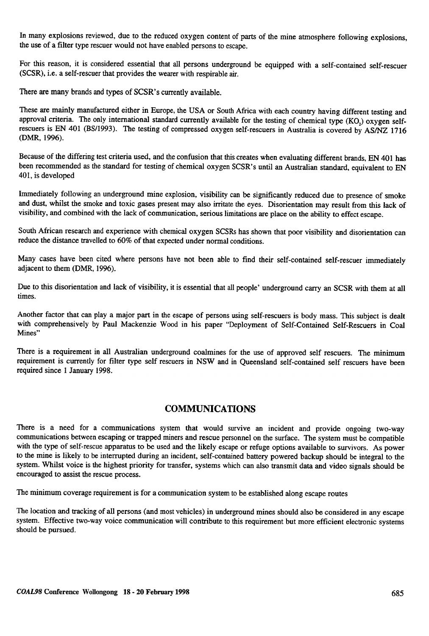In many explosions reviewed, due to the reduced oxygen content of parts of the mine atmosphere following explosions, the use of a filter type rescuer would not have enabled persons to escape.

For this reason, it is considered essential that all persons underground be equipped with a self-contained self-rescuer (SCSR), i.e. a self-rescuer that provides the wearer with respirable air.

There are many brands and types of SCSR's currently available.

These are mainly manufactured either in Europe, the USA or South Africa with each country having different testing and approval criteria. The only international standard currently available for the testing of chemical type (KO,) oxygen selfrescuers is EN 401 (BS/I993). The testing of compressed oxygen self-rescuers in Australia is covered by AS/NZ 1716 (DMR, 1996).

Because of the differing test criteria used, and the confusion that this creates when evaluating different brands, EN 401 has been recommended as the standard for testing of chemical oxygen SCSR's until an Australian standard, equivalent to EN 401, is developed

Immediately following an underground mine explosion, visibility can be significantly reduced due to presence of smoke and dust, whilst the smoke and toxic gases present may also irritate the eyes. Disorientation may result from this lack of visibility, and combined with the lack of communication, serious limitations are place on the ability to effect escape.

South African research and experience with chemical oxygen SCSRs has shown that poor visibility and disorientation can reduce the distance travelled to 60% of that expected under normal conditions.

Many cases have been cited where persons have not been able to find their self-contained self-rescuer immediately adjacent to them (DMR, 1996).

Due to this disorientation and lack of visibility, it is essential that all people' underground carry an SCSR with them at all times.

Another factor that can playa major part in the escape of persons using self-rescuers is body mass. This subject is dealt with comprehensively by Paul Mackenzie Wood in his paper "Deployment of Self-Contained Self-Rescuers in Coal Mines"

There is a requirement in all Australian underground coalmines for the use of approved self rescuers. The minimum requirement is currently for filter type self rescuers in NSW and in Queensland self-contained self rescuers have been required since 1 January 1998.

#### COMMUNICATIONS

There is a need for a communications system that would survive an incident and provide ongoing two-way communications between escaping or trapped miners and rescue personnel on the surface. The system must be compatible with the type of self-rescue apparatus to be used and the likely escape or refuge options available to survivors. As power to the mine is likely to be interrupted during an incident, self-contained battery powered backup should be integral to the system. Whilst voice is the highest priority for transfer, systems which can also transmit data and video signals should be encouraged to assist the rescue process.

The minimum coverage requirement is for a communication system to be established along escape routes

The location and tracking of all persons (and most vehicles) in underground mines should also be considered in any escape system. Effective two-way voice communication will contribute to this requirement but more efficient electronic systems should be pursued.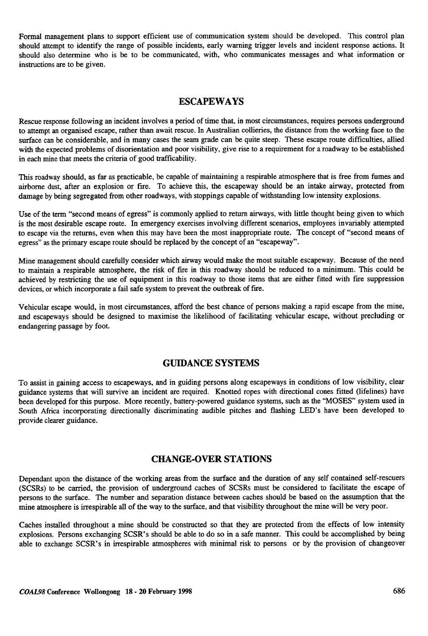Formal management plans to support efficient use of communication system should be developed. This control plan should attempt to identify the range of possible incidents, early warning trigger levels and incident response actions. It should also determine who is be to be communicated, with, who communicates messages and what information or instructions are to be given.

#### ESCAPEWAYS

Rescue response following an incident involves a period of time that. in most circumstances, requires persons underground to attempt an organised escape, rather than await rescue. In Australian collieries, the distance from the working face to the surface can be considerable, and in many cases the seam grade can be quite steep. These escape route difficulties, allied with the expected problems of disorientation and poor visibility, give rise to a requirement for a roadway to be established in each mine that meets the criteria of good trafficability.

This roadway should, as far as practicable, be capable of maintaining a respirable atmosphere that is free from fumes and airborne dust, after an explosion or fire. To achieve this, the escapeway should be an intake airway, protected from damage by being segregated from other roadways, with stoppings capable of withstanding low intensity explosions.

Use of the term "second means of egress" is commonly applied to return airways, with little thought being given to which is the most desirable escape route. In emergency exercises involving different scenarios, employees invariably attempted to escape via the returns, even when this may have been the most inappropriate route. The concept of "second means of egress" as the primary escape route should be replaced by the concept of an "escapeway".

Mine management should carefully consider which airway would make the most suitable escapeway. Because of the need to maintain a respirable atmosphere. the risk of fIfe in this roadway should be reduced to a minimum. This could be achieved by restricting the use of equipment in this roadway to those items that are either fitted with fire suppression devices. or which incorporate a fail safe system to prevent the outbreak of fire.

Vehicular escape would, in most circumstances, afford the best chance of persons making a rapid escape from the mine, and escapeways should be designed to maximise the likelihood of facilitating vehicular escape, without precluding or endangering passage by foot.

#### GUmANCE SYSTEMS

To assist in gaining access to escapeways, and in guiding persons along escapeways in conditions of low visibility, clear guidance systems that will survive an incident are required. Knotted ropes with directional cones fitted (lifelines) have been developed for this purpose. More recently, battery-powered guidance systems, such as the "MOSES" system used in South Africa incorporating directionally discriminating audible pitches and flashing LED's have been developed to provide clearer guidance.

#### CHANGE-OVER STATIONS

Dependant upon the distance of the working areas from the surface and the duration of any self contained self-rescuers (SCSRs) to be carried, the provision of underground caches of SCSRs must be considered to facilitate the escape of persons to the surface. The number and separation distance between caches should be based on the assumption that the mine atmosphere is irrespirable all of the way to the surface, and that visibility throughout the mine will be very poor.

Caches installed throughout a mine should be constructed so that they are protected from the effects of low intensity explosions. Persons exchanging SCSR's should be able to do so in a safe manner. This could be accomplished by being able to exchange SCSR's in irrespirable atmospheres with minimal risk to persons or by the provision of changeover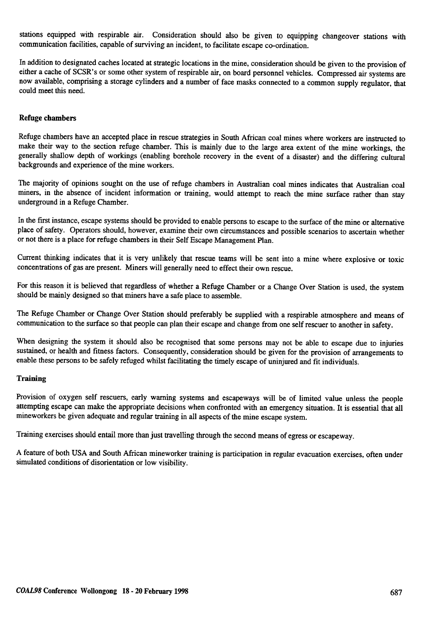stations equipped with respirable air. Consideration should also be given to equipping changeover stations with communication facilities, capable of surviving an incident, to facilitate escape co-ordination.

In addition to designated caches located at strategic locations in the mine, consideration should be given to the provision of either a cache of SCSR's or some other system of respirable air, on board personnel vehicles. Compressed air systems are now available, comprising a storage cylinders and a number of face masks connected to a common supply regulator, that could meet this need.

#### Refuge chambers

Refuge chambers have an accepted place in rescue strategies in South African coal mines where workers are instructed to make their way to the section refuge chamber. This is mainly due to the large area extent of the mine workings, the generally shallow depth of workings (enabling borehole recovery in the event of a disaster) and the differing cultural backgrounds and experience of the mine workers.

The majority of opinions sought on the use of refuge chambers in Australian coal mines indicates that Australian coal miners, in the absence of incident information or training, would attempt to reach the mine surface rather than stay underground in a Refuge Chamber.

In the fIrst instance, escape systems should be provided to enable persons to escape to the surface of the mine or alternative place of safety. Operators should, however, examine their own circumstances and possible scenarios to ascertain whether or not there is a place for refuge chambers in their Self Escape Management Plan.

Current thinking indicates that it is very unlikely that rescue teams will be sent into a mine where explosive or toxic concentrations of gas are present. Miners will generally need to effect their own rescue.

For this reason it is believed that regardless of whether a Refuge Chamber or a Change Over Station is used, the system should be mainly designed so that miners have a safe place to assemble.

The Refuge Chamber or Change Over Station should preferably be supplied with a respirable atmosphere and means of communication to the surface so that people can plan their escape and change from one self rescuer to another in safety.

When designing the system it should also be recognised that some persons may not be able to escape due to injuries sustained, or health and fitness factors. Consequently, consideration should be given for the provision of arrangements to enable these persons to be safely refuged whilst facilitating the timely escape of uninjured and fit individuals.

#### **Training**

Provision of oxygen self rescuers, early warning systems and escapeways will be of limited value unless the people attempting escape can make the appropriate decisions when confronted with an emergency situation. It is essential that all mineworkers be given adequate and regular training in all aspects of the mine escape system.

Training exercises should entail more than just travelling through the second means of egress or escapeway.

A feature of both USA and South African mineworker training is participation in regular evacuation exercises. often under simulated conditions of disorientation or low visibility .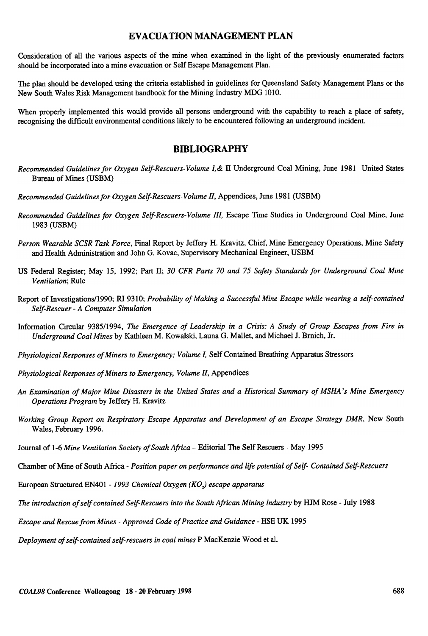#### EVACUATION MANAGEMENT PLAN

Consideration of all the various aspects of the mine when examined in the light of the previously enumerated factors should be incorporated into a mine evacuation or Self Escape Management Plan.

The plan should be developed using the criteria established in guidelines for Queensland Safety Management Plans or the New South Wales Risk Management handbook for the Mining Industry MDG 1010.

When properly implemented this would provide all persons underground with the capability to reach a place of safety, recognising the difficult environmental conditions likely to be encountered following an underground incident.

#### **BIBLIOGRAPHY**

- Recommended Guidelines for Oxygen Self-Rescuers-Volume I, & II Underground Coal Mining, June 1981 United States Bureau of Mines (USBM)
- Recommended Guidelines for Oxygen Self-Rescuers- Volume II, Appendices, June 1981 (USBM)
- Recommended Guidelines for Oxygen Self-Rescuers- Volume III, Escape Time Studies in Underground Coal Mine, June 1983 (USBM)
- Person Wearable SCSR Task Force, Final Report by Jeffery H. Kravitz, Chief, Mine Emergency Operations, Mine Safety and Health Administration and John G. Kovac, Supervisory Mechanical Engineer, USBM
- US Federal Register; May 15, 1992; Part II; 30 CFR Parts 70 and 75 Safety Standards for Underground Coal Mine Ventilation; Rule
- Report of Investigations/1990; RI 9310; Probability of Making a Successful Mine Escape while wearing a self-contained Self-Rescuer- A Computer Simulation
- Information Circular 9385/1994, The Emergence of Leadership in a Crisis: A Study of Group Escapes from Fire in Underground Coal Mines by Kathleen M. Kowalski, Launa G. Mallet. and Michael J. Brnich, Jr.
- Physiological Responses of Miners to Emergency; Volume I, Self Contained Breathing Apparatus Stressors
- Physiological Responses of Miners to Emergency, Volume 11, Appendices
- An Examination of Major Mine Disasters in the United States and a Historical Summary of MSHA's Mine Emergency Operations Program by Jeffery H. Kravitz
- Working Group Report on Respiratory Escape Apparatus and Development of an Escape Strategy DMR, New South Wales, February 1996.
- Journal of 1-6 Mine Ventilation Society of South Africa Editorial The Self Rescuers May 1995
- Chamber of Mine of South Africa Position paper on performance and life potential of Self- Contained Self-Rescuers
- European Structured EN401 1993 Chemical Oxygen (KO<sub>2</sub>) escape apparatus
- The introduction of self contained Self-Rescuers into the South African Mining Industry by HJM Rose -July 1988
- Escape and Rescue from Mines -Approved Code of Practice and Guidance -HSE UK 1995

Deployment of self-contained self-rescuers in coal mines P MacKenzie Wood et al.